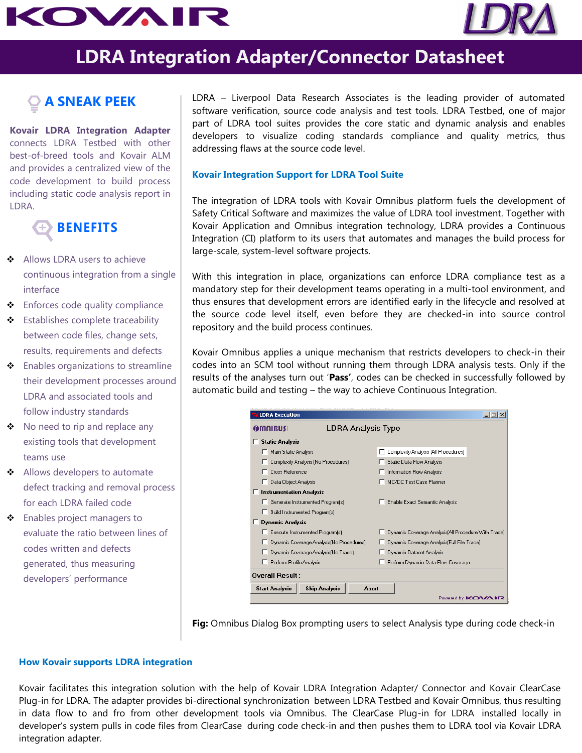# KOVAIR



## **LDRA Integration Adapter/Connector Datasheet**

### **A SNEAK PEEK**

**Kovair LDRA Integration Adapter** connects LDRA Testbed with other best-of-breed tools and Kovair ALM and provides a centralized view of the code development to build process including static code analysis report in LDRA.



- ◆ Allows LDRA users to achieve continuous integration from a single interface
- ◆ Enforces code quality compliance
- **❖** Establishes complete traceability between code files, change sets, results, requirements and defects
- ❖ Enables organizations to streamline their development processes around LDRA and associated tools and follow industry standards
- No need to rip and replace any existing tools that development teams use
- Allows developers to automate defect tracking and removal process for each LDRA failed code
- Enables project managers to evaluate the ratio between lines of codes written and defects generated, thus measuring developers' performance

LDRA – Liverpool Data Research Associates is the leading provider of automated software verification, source code analysis and test tools. LDRA Testbed, one of major part of LDRA tool suites provides the core static and dynamic analysis and enables developers to visualize coding standards compliance and quality metrics, thus addressing flaws at the source code level.

#### **Kovair Integration Support for LDRA Tool Suite**

The integration of LDRA tools with Kovair Omnibus platform fuels the development of Safety Critical Software and maximizes the value of LDRA tool investment. Together with Kovair Application and Omnibus integration technology, LDRA provides a Continuous Integration (CI) platform to its users that automates and manages the build process for large-scale, system-level software projects.

With this integration in place, organizations can enforce LDRA compliance test as a mandatory step for their development teams operating in a multi-tool environment, and thus ensures that development errors are identified early in the lifecycle and resolved at the source code level itself, even before they are checked-in into source control repository and the build process continues.

Kovair Omnibus applies a unique mechanism that restricts developers to check-in their codes into an SCM tool without running them through LDRA analysis tests. Only if the results of the analyses turn out '**Pass'**, codes can be checked in successfully followed by automatic build and testing – the way to achieve Continuous Integration.

| <b>LDRA Execution</b>                                  |                                                      |
|--------------------------------------------------------|------------------------------------------------------|
| LDRA Analysis Type<br><b>OMNIBUS</b>                   |                                                      |
| <b>Static Analysis</b>                                 |                                                      |
| Main Static Analysis                                   | Complexity Analysis [All Procedures]                 |
| Complexity Analysis (No Procedures)                    | <b>Static Data Flow Analysis</b>                     |
| Cross Reference                                        | Information Flow Analysis                            |
| Data Object Analysis                                   | MC/DC Test Case Planner                              |
| $\Box$ Instrumentation Analysis                        |                                                      |
| Generate Instrumented Program(s)                       | <b>Enable Exact Semantic Analysis</b>                |
| Build Instrumented Program[s]                          |                                                      |
| <b>Dynamic Analysis</b>                                |                                                      |
| Execute Instrumented Program(s)                        | Dynamic Coverage Analysis [All Procedure With Trace] |
| Dynamic Coverage Analysis No Procedures)               | Dynamic Coverage Analysis [Full File Trace]          |
| Dynamic Coverage Analysis No Trace)                    | Dynamic Dataset Analysis                             |
| Perform Profile Analysis                               | Perform Dynamic Data Flow Coverage                   |
| <b>Overall Result:</b>                                 |                                                      |
| <b>Skip Analysis</b><br>Abort<br><b>Start Analysis</b> |                                                      |
| Powered by KOVAIR                                      |                                                      |

**Fig:** Omnibus Dialog Box prompting users to select Analysis type during code check-in

#### **How Kovair supports LDRA integration**

Kovair facilitates this integration solution with the help of Kovair LDRA Integration Adapter/ Connector and Kovair ClearCase Plug-in for LDRA. The adapter provides bi-directional synchronization between LDRA Testbed and Kovair Omnibus, thus resulting in data flow to and fro from other development tools via Omnibus. The ClearCase Plug-in for LDRA installed locally in developer's system pulls in code files from ClearCase during code check-in and then pushes them to LDRA tool via Kovair LDRA integration adapter.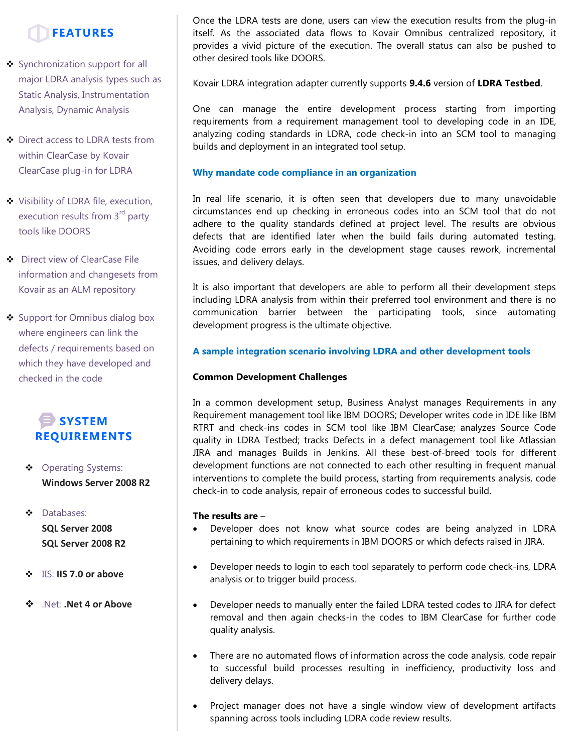

- Synchronization support for all major LDRA analysis types such as Static Analysis, Instrumentation Analysis, Dynamic Analysis
- ◆ Direct access to LDRA tests from within ClearCase by Kovair ClearCase plug-in for LDRA
- ◆ Visibility of LDRA file, execution, execution results from 3<sup>rd</sup> party tools like DOORS
- $\bullet$  Direct view of ClearCase File information and changesets from Kovair as an ALM repository
- Support for Omnibus dialog box where engineers can link the defects / requirements based on which they have developed and checked in the code



- Operating Systems: **Windows Server 2008 R2**
- $\bullet$  Databases: **SQL Server 2008 SQL Server 2008 R2**
- IIS: **IIS 7.0 or above**
- .Net: **.Net 4 or Above**

Once the LDRA tests are done, users can view the execution results from the plug-in itself. As the associated data flows to Kovair Omnibus centralized repository, it provides a vivid picture of the execution. The overall status can also be pushed to other desired tools like DOORS.

Kovair LDRA integration adapter currently supports **9.4.6** version of **LDRA Testbed**.

One can manage the entire development process starting from importing requirements from a requirement management tool to developing code in an IDE, analyzing coding standards in LDRA, code check-in into an SCM tool to managing builds and deployment in an integrated tool setup.

#### **Why mandate code compliance in an organization**

In real life scenario, it is often seen that developers due to many unavoidable circumstances end up checking in erroneous codes into an SCM tool that do not adhere to the quality standards defined at project level. The results are obvious defects that are identified later when the build fails during automated testing. Avoiding code errors early in the development stage causes rework, incremental issues, and delivery delays.

It is also important that developers are able to perform all their development steps including LDRA analysis from within their preferred tool environment and there is no communication barrier between the participating tools, since automating development progress is the ultimate objective.

#### **A sample integration scenario involving LDRA and other development tools**

#### **Common Development Challenges**

In a common development setup, Business Analyst manages Requirements in any Requirement management tool like IBM DOORS; Developer writes code in IDE like IBM RTRT and check-ins codes in SCM tool like IBM ClearCase; analyzes Source Code quality in LDRA Testbed; tracks Defects in a defect management tool like Atlassian JIRA and manages Builds in Jenkins. All these best-of-breed tools for different development functions are not connected to each other resulting in frequent manual interventions to complete the build process, starting from requirements analysis, code check-in to code analysis, repair of erroneous codes to successful build.

#### **The results are** –

- Developer does not know what source codes are being analyzed in LDRA pertaining to which requirements in IBM DOORS or which defects raised in JIRA.
- Developer needs to login to each tool separately to perform code check-ins, LDRA analysis or to trigger build process.
- Developer needs to manually enter the failed LDRA tested codes to JIRA for defect removal and then again checks-in the codes to IBM ClearCase for further code quality analysis.
- There are no automated flows of information across the code analysis, code repair to successful build processes resulting in inefficiency, productivity loss and delivery delays.
- Project manager does not have a single window view of development artifacts spanning across tools including LDRA code review results.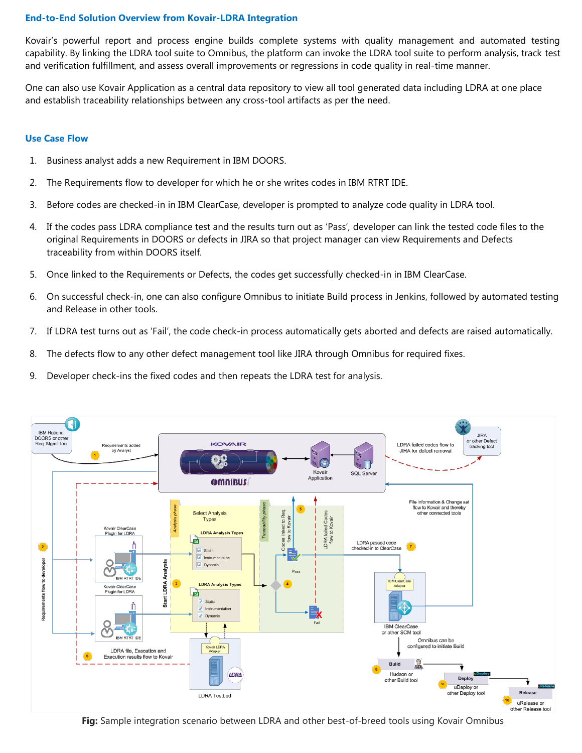#### **End-to-End Solution Overview from Kovair-LDRA Integration**

Kovair's powerful report and process engine builds complete systems with quality management and automated testing capability. By linking the LDRA tool suite to Omnibus, the platform can invoke the LDRA tool suite to perform analysis, track test and verification fulfillment, and assess overall improvements or regressions in code quality in real-time manner.

One can also use Kovair Application as a central data repository to view all tool generated data including LDRA at one place and establish traceability relationships between any cross-tool artifacts as per the need.

#### **Use Case Flow**

- 1. Business analyst adds a new Requirement in IBM DOORS.
- 2. The Requirements flow to developer for which he or she writes codes in IBM RTRT IDE.
- 3. Before codes are checked-in in IBM ClearCase, developer is prompted to analyze code quality in LDRA tool.
- 4. If the codes pass LDRA compliance test and the results turn out as 'Pass', developer can link the tested code files to the original Requirements in DOORS or defects in JIRA so that project manager can view Requirements and Defects traceability from within DOORS itself.
- 5. Once linked to the Requirements or Defects, the codes get successfully checked-in in IBM ClearCase.
- 6. On successful check-in, one can also configure Omnibus to initiate Build process in Jenkins, followed by automated testing and Release in other tools.
- 7. If LDRA test turns out as 'Fail', the code check-in process automatically gets aborted and defects are raised automatically.
- 8. The defects flow to any other defect management tool like JIRA through Omnibus for required fixes.
- 9. Developer check-ins the fixed codes and then repeats the LDRA test for analysis.



**Fig:** Sample integration scenario between LDRA and other best-of-breed tools using Kovair Omnibus